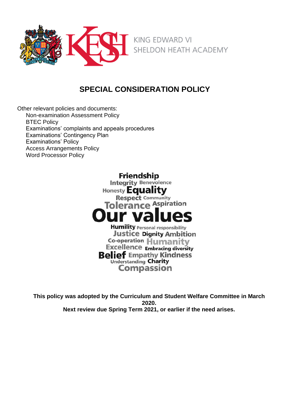

# **SPECIAL CONSIDERATION POLICY**

Other relevant policies and documents: Non-examination Assessment Policy **BTEC Policy** Examinations' complaints and appeals procedures Examinations' Contingency Plan Examinations' Policy Access Arrangements Policy Word Processor Policy

> **Friendship Integrity Benevolence** Honesty Equality **Respect Community Tolerance Aspiration Humility Personal responsibility Justice Dignity Ambition** Co-operation Humanity **Excellence Embracing diversity Belief Empathy Kindness Understanding Charity Compassion**

**This policy was adopted by the Curriculum and Student Welfare Committee in March 2020. Next review due Spring Term 2021, or earlier if the need arises.**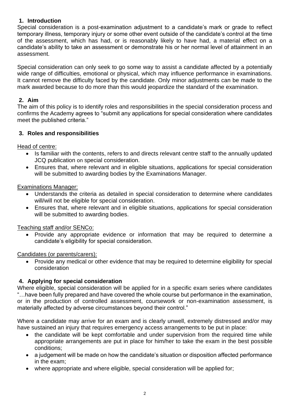# **1. Introduction**

Special consideration is a post-examination adjustment to a candidate's mark or grade to reflect temporary illness, temporary injury or some other event outside of the candidate's control at the time of the assessment, which has had, or is reasonably likely to have had, a material effect on a candidate's ability to take an assessment or demonstrate his or her normal level of attainment in an assessment.

Special consideration can only seek to go some way to assist a candidate affected by a potentially wide range of difficulties, emotional or physical, which may influence performance in examinations. It cannot remove the difficulty faced by the candidate. Only minor adjustments can be made to the mark awarded because to do more than this would jeopardize the standard of the examination.

# **2. Aim**

The aim of this policy is to identify roles and responsibilities in the special consideration process and confirms the Academy agrees to "submit any applications for special consideration where candidates meet the published criteria."

# **3. Roles and responsibilities**

Head of centre:

- Is familiar with the contents, refers to and directs relevant centre staff to the annually updated JCQ publication [on](http://www.jcq.org.uk/exams-office/access-arrangements-and-special-consideration/regulations-and-guidance) special consideration.
- Ensures that, where relevant and in eligible situations, applications for special consideration will be submitted to awarding bodies by the Examinations Manager.

### Examinations Manager:

- Understands the criteria as detailed in special consideration to determine where candidates will/will not be eligible for special consideration.
- Ensures that, where relevant and in eligible situations, applications for special consideration will be submitted to awarding bodies.

# Teaching staff and/or SENCo:

• Provide any appropriate evidence or information that may be required to determine a candidate's eligibility for special consideration.

# Candidates (or parents/carers):

• Provide any medical or other evidence that may be required to determine eligibility for special consideration

# **4. Applying for special consideration**

Where eligible, special consideration will be applied for in a specific exam series where candidates "…have been fully prepared and have covered the whole course but performance in the examination, or in the production of controlled assessment, coursework or non-examination assessment, is materially affected by adverse circumstances beyond their control."

Where a candidate may arrive for an exam and is clearly unwell, extremely distressed and/or may have sustained an injury that requires emergency access arrangements to be put in place:

- the candidate will be kept comfortable and under supervision from the required time while appropriate arrangements are put in place for him/her to take the exam in the best possible conditions;
- a judgement will be made on how the candidate's situation or disposition affected performance in the exam;
- where appropriate and where eligible, special consideration will be applied for;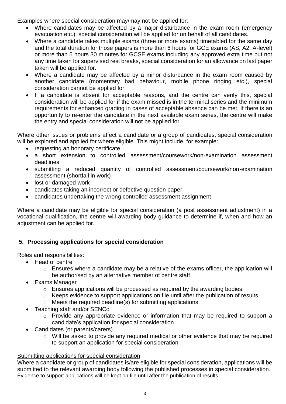Examples where special consideration may/may not be applied for:

- Where candidates may be affected by a major disturbance in the exam room (emergency evacuation etc.), special consideration will be applied for on behalf of all candidates.
- Where a candidate takes multiple exams (three or more exams) timetabled for the same day and the total duration for those papers is more than 6 hours for GCE exams (AS, A2, A-level) or more than 5 hours 30 minutes for GCSE exams including any approved extra time but not any time taken for supervised rest breaks, special consideration for an allowance on last paper taken will be applied for.
- Where a candidate may be affected by a minor disturbance in the exam room caused by another candidate (momentary bad behaviour, mobile phone ringing etc.), special consideration cannot be applied for.
- If a candidate is absent for acceptable reasons, and the centre can verify this, special consideration will be applied for if the exam missed is in the terminal series and the minimum requirements for enhanced grading in cases of acceptable absence can be met. If there is an opportunity to re-enter the candidate in the next available exam series, the centre will make the entry and special consideration will not be applied for

Where other issues or problems affect a candidate or a group of candidates, special consideration will be explored and applied for where eligible. This might include, for example:

- requesting an honorary certificate
- a short extension to controlled assessment/coursework/non-examination assessment deadlines
- submitting a reduced quantity of controlled assessment/coursework/non-examination assessment (shortfall in work)
- lost or damaged work
- candidates taking an incorrect or defective question paper
- candidates undertaking the wrong controlled assessment assignment

Where a candidate may be eligible for special consideration (a post assessment adjustment) in a vocational qualification, the centre will awarding body guidance to determine if, when and how an adjustment can be applied for.

# **5. Processing applications for special consideration**

Roles and responsibilities:

- Head of centre
	- o Ensures where a candidate may be a relative of the exams officer, the application will be authorised by an alternative member of centre staff
- Exams Manager
	- o Ensures applications will be processed as required by the awarding bodies
	- o Keeps evidence to support applications on file until after the publication of results
	- o Meets the required deadline(s) for submitting applications
- Teaching staff and/or SENCo
	- o Provide any appropriate evidence or information that may be required to support a candidate's application for special consideration
- Candidates (or parents/carers)
	- o Will be asked to provide any required medical or other evidence that may be required to support an application for special consideration

# Submitting applications for special consideration

Where a candidate or group of candidates is/are eligible for special consideration, applications will be submitted to the relevant awarding body following the published processes in [special](http://www.jcq.org.uk/exams-office/access-arrangements-and-special-consideration) consideration. Evidence to support applications will be kept on file until after the publication of results.